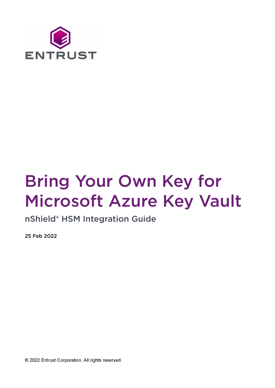

# Bring Your Own Key for Microsoft Azure Key Vault

nShield® HSM Integration Guide

25 Feb 2022

© 2022 Entrust Corporation. All rights reserved.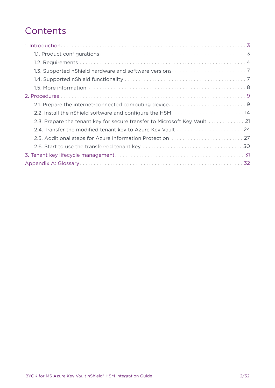## **Contents**

| 2.3. Prepare the tenant key for secure transfer to Microsoft Key Vault  21 |
|----------------------------------------------------------------------------|
| 2.4. Transfer the modified tenant key to Azure Key Vault  24               |
|                                                                            |
|                                                                            |
|                                                                            |
|                                                                            |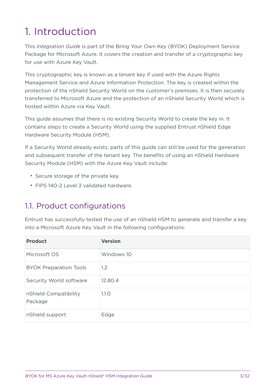## <span id="page-2-0"></span>1. Introduction

This *Integration Guide* is part of the Bring Your Own Key (BYOK) Deployment Service Package for Microsoft Azure. It covers the creation and transfer of a cryptographic key for use with Azure Key Vault.

This cryptographic key is known as a tenant key if used with the Azure Rights Management Service and Azure Information Protection. The key is created within the protection of the nShield Security World on the customer's premises. It is then securely transferred to Microsoft Azure and the protection of an nShield Security World which is hosted within Azure via Key Vault.

This guide assumes that there is no existing Security World to create the key in. It contains steps to create a Security World using the supplied Entrust nShield Edge Hardware Security Module (HSM).

If a Security World already exists, parts of this guide can still be used for the generation and subsequent transfer of the tenant key. The benefits of using an nShield Hardware Security Module (HSM) with the Azure Key Vault include:

- Secure storage of the private key.
- FIPS 140-2 Level 3 validated hardware.

## <span id="page-2-1"></span>1.1. Product configurations

Entrust has successfully tested the use of an nShield HSM to generate and transfer a key into a Microsoft Azure Key Vault in the following configurations:

| <b>Product</b>                   | <b>Version</b> |
|----------------------------------|----------------|
| Microsoft OS                     | Windows 10     |
| <b>BYOK Preparation Tools</b>    | 1.2            |
| Security World software          | 12.80.4        |
| nShield Compatibility<br>Package | 1.1.0          |
| nShield support                  | Edge           |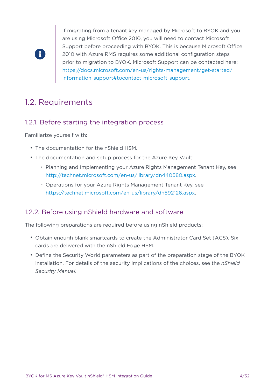

If migrating from a tenant key managed by Microsoft to BYOK and you are using Microsoft Office 2010, you will need to contact Microsoft Support before proceeding with BYOK. This is because Microsoft Office 2010 with Azure RMS requires some additional configuration steps prior to migration to BYOK. Microsoft Support can be contacted here: [https://docs.microsoft.com/en-us/rights-management/get-started/](https://docs.microsoft.com/en-us/rights-management/get-started/information-support#tocontact-microsoft-support) [information-support#tocontact-microsoft-support.](https://docs.microsoft.com/en-us/rights-management/get-started/information-support#tocontact-microsoft-support)

### <span id="page-3-0"></span>1.2. Requirements

#### 1.2.1. Before starting the integration process

Familiarize yourself with:

- The documentation for the nShield HSM.
- The documentation and setup process for the Azure Key Vault:
	- Planning and Implementing your Azure Rights Management Tenant Key, see [http://technet.microsoft.com/en-us/library/dn440580.aspx.](http://technet.microsoft.com/en-us/library/dn440580.aspx)
	- Operations for your Azure Rights Management Tenant Key, see [https://technet.microsoft.com/en-us/library/dn592126.aspx.](https://technet.microsoft.com/en-us/library/dn592126.aspx)

#### 1.2.2. Before using nShield hardware and software

The following preparations are required before using nShield products:

- Obtain enough blank smartcards to create the Administrator Card Set (ACS). Six cards are delivered with the nShield Edge HSM.
- Define the Security World parameters as part of the preparation stage of the BYOK installation. For details of the security implications of the choices, see the *nShield Security Manual*.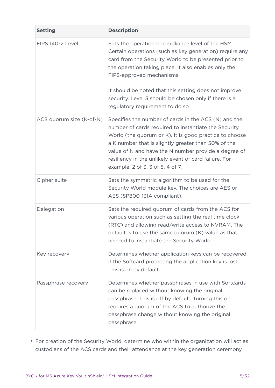| <b>Setting</b>           | <b>Description</b>                                                                                                                                                                                                                                                                                                                                                                                               |
|--------------------------|------------------------------------------------------------------------------------------------------------------------------------------------------------------------------------------------------------------------------------------------------------------------------------------------------------------------------------------------------------------------------------------------------------------|
| FIPS 140-2 Level         | Sets the operational compliance level of the HSM.<br>Certain operations (such as key generation) require any<br>card from the Security World to be presented prior to<br>the operation taking place. It also enables only the<br>FIPS-approved mechanisms.<br>It should be noted that this setting does not improve<br>security. Level 3 should be chosen only if there is a<br>regulatory requirement to do so. |
| ACS quorum size (K-of-N) | Specifies the number of cards in the ACS (N) and the<br>number of cards required to instantiate the Security<br>World (the quorum or K). It is good practice to choose<br>a K number that is slightly greater than 50% of the<br>value of N and have the N number provide a degree of<br>resiliency in the unlikely event of card failure. For<br>example, 2 of 3, 3 of 5, 4 of 7.                               |
| Cipher suite             | Sets the symmetric algorithm to be used for the<br>Security World module key. The choices are AES or<br>AES (SP800-131A compliant).                                                                                                                                                                                                                                                                              |
| Delegation               | Sets the required quorum of cards from the ACS for<br>various operation such as setting the real time clock<br>(RTC) and allowing read/write access to NVRAM. The<br>default is to use the same quorum (K) value as that<br>needed to instantiate the Security World.                                                                                                                                            |
| Key recovery             | Determines whether application keys can be recovered<br>if the Softcard protecting the application key is lost.<br>This is on by default.                                                                                                                                                                                                                                                                        |
| Passphrase recovery      | Determines whether passphrases in use with Softcards<br>can be replaced without knowing the original<br>passphrase. This is off by default. Turning this on<br>requires a quorum of the ACS to authorize the<br>passphrase change without knowing the original<br>passphrase.                                                                                                                                    |

• For creation of the Security World, determine who within the organization will act as custodians of the ACS cards and their attendance at the key generation ceremony.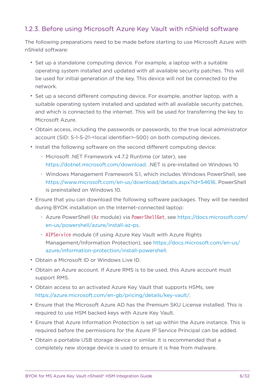#### 1.2.3. Before using Microsoft Azure Key Vault with nShield software

The following preparations need to be made before starting to use Microsoft Azure with nShield software:

- Set up a standalone computing device. For example, a laptop with a suitable operating system installed and updated with all available security patches. This will be used for initial generation of the key. This device will not be connected to the network.
- Set up a second different computing device. For example, another laptop, with a suitable operating system installed and updated with all available security patches, and which is connected to the internet. This will be used for transferring the key to Microsoft Azure.
- Obtain access, including the passwords or passwords, to the true local administrator account (SID: S-1-5-21-<local identifier>-500) on both computing devices.
- Install the following software on the second different computing device:
	- Microsoft .NET Framework v4.7.2 Runtime (or later), see [https://dotnet.microsoft.com/download.](https://dotnet.microsoft.com/download) .NET is pre-installed on Windows 10
	- Windows Management Framework 5.1, which includes Windows PowerShell, see [https://www.microsoft.com/en-us/download/details.aspx?id=54616.](https://www.microsoft.com/en-us/download/details.aspx?id=54616) PowerShell is preinstalled on Windows 10.
- Ensure that you can download the following software packages. They will be needed during BYOK installation on the Internet-connected laptop:
	- Azure PowerShell (Az module) via PowerShellGet, see [https://docs.microsoft.com/](https://docs.microsoft.com/en-us/powershell/azure/install-az-ps) [en-us/powershell/azure/install-az-ps](https://docs.microsoft.com/en-us/powershell/azure/install-az-ps).
	- AIPService module (if using Azure Key Vault with Azure Rights Management/Information Protection), see [https://docs.microsoft.com/en-us/](https://docs.microsoft.com/en-us/azure/information-protection/install-powershell) [azure/information-protection/install-powershell.](https://docs.microsoft.com/en-us/azure/information-protection/install-powershell)
- Obtain a Microsoft ID or Windows Live ID.
- Obtain an Azure account. If Azure RMS is to be used, this Azure account must support RMS.
- Obtain access to an activated Azure Key Vault that supports HSMs, see [https://azure.microsoft.com/en-gb/pricing/details/key-vault/.](https://azure.microsoft.com/en-gb/pricing/details/key-vault/)
- Ensure that the Microsoft Azure AD has the Premium SKU License installed. This is required to use HSM backed keys with Azure Key Vault.
- Ensure that Azure Information Protection is set up within the Azure instance. This is required before the permissions for the Azure IP Service Principal can be added.
- Obtain a portable USB storage device or similar. It is recommended that a completely new storage device is used to ensure it is free from malware.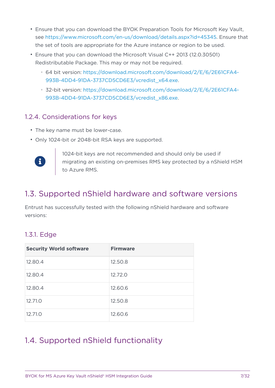- Ensure that you can download the BYOK Preparation Tools for Microsoft Key Vault, see [https://www.microsoft.com/en-us/download/details.aspx?id=45345.](https://www.microsoft.com/en-us/download/details.aspx?id=45345) Ensure that the set of tools are appropriate for the Azure instance or region to be used.
- Ensure that you can download the Microsoft Visual C++ 2013 (12.0.30501) Redistributable Package. This may or may not be required.
	- 64 bit version: [https://download.microsoft.com/download/2/E/6/2E61CFA4-](https://download.microsoft.com/download/2/E/6/2E61CFA4-993B-4DD4-91DA-3737CD5CD6E3/vcredist_x64.exe) [993B-4DD4-91DA-3737CD5CD6E3/vcredist\\_x64.exe](https://download.microsoft.com/download/2/E/6/2E61CFA4-993B-4DD4-91DA-3737CD5CD6E3/vcredist_x64.exe).
	- 32-bit version: [https://download.microsoft.com/download/2/E/6/2E61CFA4-](https://download.microsoft.com/download/2/E/6/2E61CFA4-993B-4DD4-91DA-3737CD5CD6E3/vcredist_x86.exe) [993B-4DD4-91DA-3737CD5CD6E3/vcredist\\_x86.exe.](https://download.microsoft.com/download/2/E/6/2E61CFA4-993B-4DD4-91DA-3737CD5CD6E3/vcredist_x86.exe)

#### 1.2.4. Considerations for keys

- The key name must be lower-case.
- Only 1024-bit or 2048-bit RSA keys are supported.



1024-bit keys are not recommended and should only be used if migrating an existing on-premises RMS key protected by a nShield HSM to Azure RMS.

## <span id="page-6-0"></span>1.3. Supported nShield hardware and software versions

Entrust has successfully tested with the following nShield hardware and software versions:

### 1.3.1. Edge

| <b>Security World software</b> | <b>Firmware</b> |
|--------------------------------|-----------------|
| 12.80.4                        | 12.50.8         |
| 12.80.4                        | 12.72.0         |
| 12.80.4                        | 12.60.6         |
| 12.71.0                        | 12.50.8         |
| 12.71.0                        | 12.60.6         |

## <span id="page-6-1"></span>1.4. Supported nShield functionality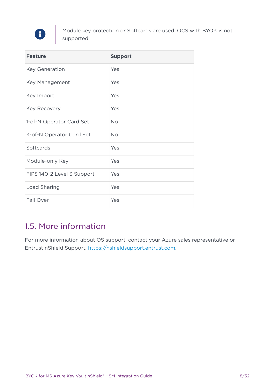

Module key protection or Softcards are used. OCS with BYOK is not supported.

| <b>Feature</b>             | <b>Support</b> |
|----------------------------|----------------|
| Key Generation             | Yes            |
| Key Management             | Yes            |
| Key Import                 | Yes            |
| Key Recovery               | Yes            |
| 1-of-N Operator Card Set   | <b>No</b>      |
| K-of-N Operator Card Set   | <b>No</b>      |
| Softcards                  | Yes            |
| Module-only Key            | Yes            |
| FIPS 140-2 Level 3 Support | Yes            |
| Load Sharing               | Yes            |
| Fail Over                  | Yes            |

## <span id="page-7-0"></span>1.5. More information

For more information about OS support, contact your Azure sales representative or Entrust nShield Support, [https://nshieldsupport.entrust.com.](https://nshieldsupport.entrust.com)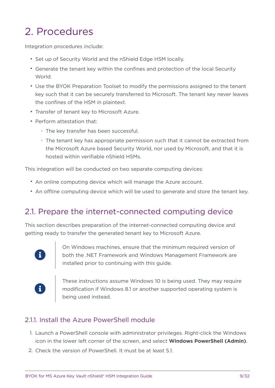## <span id="page-8-0"></span>2. Procedures

Integration procedures include:

- Set up of Security World and the nShield Edge HSM locally.
- Generate the tenant key within the confines and protection of the local Security **World**
- Use the BYOK Preparation Toolset to modify the permissions assigned to the tenant key such that it can be securely transferred to Microsoft. The tenant key never leaves the confines of the HSM in plaintext.
- Transfer of tenant key to Microsoft Azure.
- Perform attestation that:
	- The key transfer has been successful.
	- The tenant key has appropriate permission such that it cannot be extracted from the Microsoft Azure based Security World, nor used by Microsoft, and that it is hosted within verifiable nShield HSMs.

This integration will be conducted on two separate computing devices:

- An online computing device which will manage the Azure account.
- An offline computing device which will be used to generate and store the tenant key.

### <span id="page-8-1"></span>2.1. Prepare the internet-connected computing device

This section describes preparation of the internet-connected computing device and getting ready to transfer the generated tenant key to Microsoft Azure.



On Windows machines, ensure that the minimum required version of both the .NET Framework and Windows Management Framework are installed prior to continuing with this guide.



These instructions assume Windows 10 is being used. They may require modification if Windows 8.1 or another supported operating system is being used instead.

#### 211. Install the Azure PowerShell module

- 1. Launch a PowerShell console with administrator privileges. Right-click the Windows icon in the lower left corner of the screen, and select **Windows PowerShell (Admin)**.
- 2. Check the version of PowerShell. It must be at least 5.1.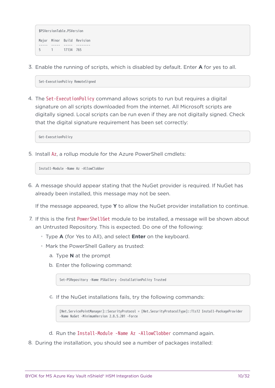```
$PSVersionTable.PSVersion
Major Minor Build Revision
----- ----- ----- --------
5 1 17134 765
```
3. Enable the running of scripts, which is disabled by default. Enter **A** for yes to all.

Set-ExecutionPolicy RemoteSigned

4. The Set-ExecutionPolicy command allows scripts to run but requires a digital signature on all scripts downloaded from the internet. All Microsoft scripts are digitally signed. Local scripts can be run even if they are not digitally signed. Check that the digital signature requirement has been set correctly:

Get-ExecutionPolicy

5. Install Az, a rollup module for the Azure PowerShell cmdlets:

Install-Module -Name Az -AllowClobber

6. A message should appear stating that the NuGet provider is required. If NuGet has already been installed, this message may not be seen.

If the message appeared, type **Y** to allow the NuGet provider installation to continue.

- 7. If this is the first PowerShellGet module to be installed, a message will be shown about an Untrusted Repository. This is expected. Do one of the following:
	- Type **A** (for Yes to All), and select **Enter** on the keyboard.
	- Mark the PowerShell Gallery as trusted:
		- a. Type **N** at the prompt
		- b. Enter the following command:

Set-PSRepository -Name PSGallery -InstallationPolicy Trusted

c. If the NuGet installations fails, try the following commands:

```
[Net.ServicePointManager]::SecurityProtocol = [Net.SecurityProtocolType]::Tls12 Install-PackageProvider
-Name NuGet -MinimumVersion 2.8.5.201 -Force
```
- d. Run the Install-Module -Name Az -AllowClobber command again.
- 8. During the installation, you should see a number of packages installed: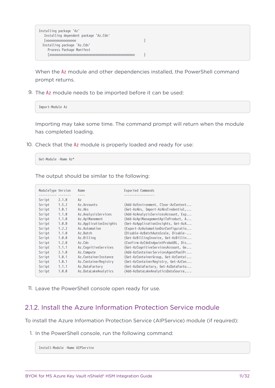Installing package 'Az' Installing dependent package 'Az.Cdn' [ooooooooooooooooo ] Installing package 'Az.Cdn' Process Package Manifest [oooooooooooooooooooooooooooooooooooooooooooooooo ]

When the Az module and other dependencies installed, the PowerShell command prompt returns.

9. The Az module needs to be imported before it can be used:

Import-Module Az

Importing may take some time. The command prompt will return when the module has completed loading.

10. Check that the Az module is properly loaded and ready for use:

Get-Module -Name Az\*

The output should be similar to the following:

| ModuleType Version |       | Name                   | Exported Commands                   |
|--------------------|-------|------------------------|-------------------------------------|
|                    |       |                        |                                     |
| Script             | 2.1.0 | Az                     |                                     |
| Script             | 1.5.2 | Az.Accounts            | {Add-AzEnvironment, Clear-AzContext |
| Script             | 1.0.1 | Az.Aks                 | {Get-AzAks, Import-AzAksCredential, |
| Script             | 1.1.0 | Az.AnalysisServices    | {Add-AzAnalysisServicesAccount, Exp |
| Script             | 1.1.0 | Az.ApiManement         | {Add-AzApiManagementApiToProduct, A |
| Script             | 1.0.0 | Az.ApplicationInsights | {Get-AzApplicationInsights, Get-AzA |
| Script             | 1.2.2 | Az.Automation          | {Export-AzAutomationDscConfiguratio |
| Script             | 1.1.0 | Az.Batch               | {Disable-AzBatchAutoScale, Disable- |
| Script             | 1.0.0 | Az.Billing             | {Get-AzBillingInvoice, Get-AzBillin |
| Script             | 1.2.0 | Az.Cdn                 | {Confirm-AzCdnEndpointProbeURL, Dis |
| Script             | 1.1.1 | Az.CognitiveServices   | {Get-AzCognitiveServicesAccount, Ge |
| Script             | 2.1.0 | Az.Compute             | {Add-AzContainerServicesAgentPoolPr |
| Script             | 1.0.1 | Az.ContainerInstance   | {Get-AzContainerGroup, Get-AzContai |
| Script             | 1.0.1 | Az.ContainerRegistry   | {Get-AzContainerRegistry, Get-AzCon |
| Script             | 1.1.1 | Az.DataFactory         | {Get-AzDataFactory, Get-AzDataFacto |
| Script             | 1.0.0 | Az.DataLakeAnalytics   | {Add-AzDataLakeAnalyticsDataSource, |

11. Leave the PowerShell console open ready for use.

#### 2.1.2. Install the Azure Information Protection Service module

To install the Azure Information Protection Service (AIPService) module (if required):

1. In the PowerShell console, run the following command:

Install-Module -Name AIPService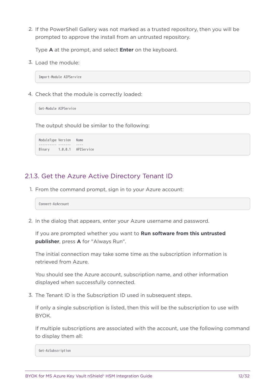2. If the PowerShell Gallery was not marked as a trusted repository, then you will be prompted to approve the install from an untrusted repository.

Type **A** at the prompt, and select **Enter** on the keyboard.

3. Load the module:

Import-Module AIPService

4. Check that the module is correctly loaded:

Get-Module AIPService

The output should be similar to the following:

ModuleType Version Name ---------- ------- ---- Binary 1.0.0.1 APIService

#### <span id="page-11-0"></span>2.1.3. Get the Azure Active Directory Tenant ID

1. From the command prompt, sign in to your Azure account:

Connect-AzAccount

2. In the dialog that appears, enter your Azure username and password.

If you are prompted whether you want to **Run software from this untrusted publisher**, press **A** for "Always Run".

The initial connection may take some time as the subscription information is retrieved from Azure.

You should see the Azure account, subscription name, and other information displayed when successfully connected.

3. The Tenant ID is the Subscription ID used in subsequent steps.

If only a single subscription is listed, then this will be the subscription to use with BYOK.

If multiple subscriptions are associated with the account, use the following command to display them all:

Get-AzSubscription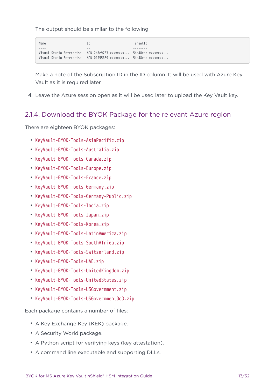The output should be similar to the following:

Name Id TenantId ---- -- -------- Visual Studio Enterprise - MPN 2b3c9783-xxxxxxxx... 5bd48eab-xxxxxxxx... Visual Studio Enterprise - MPN 01f55689-xxxxxxxx... 5bd48eab-xxxxxxxx...

Make a note of the Subscription ID in the ID column. It will be used with Azure Key Vault as it is required later.

4. Leave the Azure session open as it will be used later to upload the Key Vault key.

#### 2.1.4. Download the BYOK Package for the relevant Azure region

There are eighteen BYOK packages:

- KeyVault-BYOK-Tools-AsiaPacific.zip
- KeyVault-BYOK-Tools-Australia.zip
- KeyVault-BYOK-Tools-Canada.zip
- KeyVault-BYOK-Tools-Europe.zip
- KeyVault-BYOK-Tools-France.zip
- KeyVault-BYOK-Tools-Germany.zip
- KeyVault-BYOK-Tools-Germany-Public.zip
- KeyVault-BYOK-Tools-India.zip
- KeyVault-BYOK-Tools-Japan.zip
- KeyVault-BYOK-Tools-Korea.zip
- KeyVault-BYOK-Tools-LatinAmerica.zip
- KeyVault-BYOK-Tools-SouthAfrica.zip
- KeyVault-BYOK-Tools-Switzerland.zip
- KeyVault-BYOK-Tools-UAE.zip
- KeyVault-BYOK-Tools-UnitedKingdom.zip
- KeyVault-BYOK-Tools-UnitedStates.zip
- KeyVault-BYOK-Tools-USGovernment.zip
- KeyVault-BYOK-Tools-USGovernmentDoD.zip

Each package contains a number of files:

- A Key Exchange Key (KEK) package.
- A Security World package.
- A Python script for verifying keys (key attestation).
- A command line executable and supporting DLLs.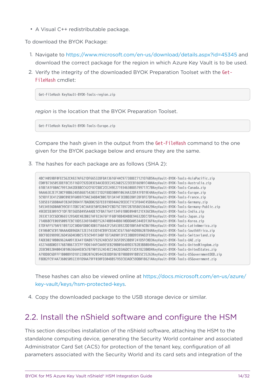• A Visual C++ redistributable package.

To download the BYOK Package:

- 1. Navigate to <https://www.microsoft.com/en-us/download/details.aspx?id=45345> and download the correct package for the region in which Azure Key Vault is to be used.
- 2. Verify the integrity of the downloaded BYOK Preparation Toolset with the Get-FileHash cmdlet:

Get-FileHash KeyVault-BYOK-Tools-region.zip

*region* is the location that the BYOK Preparation Toolset.

Get-FileHash KeyVault-BYOK-Tools-Europe.zip

Compare the hash given in the output from the Get-FileHash command to the one given for the BYOK package below and ensure they are the same.

3. The hashes for each package are as follows (SHA 2):



These hashes can also be viewed online at [https://docs.microsoft.com/en-us/azure/](https://docs.microsoft.com/en-us/azure/key-vault/keys/hsm-protected-keys) [key-vault/keys/hsm-protected-keys.](https://docs.microsoft.com/en-us/azure/key-vault/keys/hsm-protected-keys)

4. Copy the downloaded package to the USB storage device or similar.

## <span id="page-13-0"></span>2.2. Install the nShield software and configure the HSM

This section describes installation of the nShield software, attaching the HSM to the standalone computing device, generating the Security World container and associated Administrator Card Set (ACS) for protection of the tenant key, configuration of all parameters associated with the Security World and its card sets and integration of the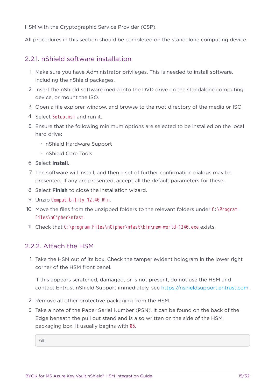HSM with the Cryptographic Service Provider (CSP).

All procedures in this section should be completed on the standalone computing device.

#### 2.2.1. nShield software installation

- 1. Make sure you have Administrator privileges. This is needed to install software, including the nShield packages.
- 2. Insert the nShield software media into the DVD drive on the standalone computing device, or mount the ISO.
- 3. Open a file explorer window, and browse to the root directory of the media or ISO.
- 4. Select Setup.msi and run it.
- 5. Ensure that the following minimum options are selected to be installed on the local hard drive:
	- nShield Hardware Support
	- nShield Core Tools
- 6. Select **Install**.
- 7. The software will install, and then a set of further confirmation dialogs may be presented. If any are presented, accept all the default parameters for these.
- 8. Select **Finish** to close the installation wizard.
- 9. Unzip Compatibility 12.40 Win.
- 10. Move the files from the unzipped folders to the relevant folders under C:\Program Files\nCipher\nfast.
- 11. Check that C:\program Files\nCipher\nfast\bin\new-world-1240.exe exists.

#### 2.2.2. Attach the HSM

1. Take the HSM out of its box. Check the tamper evident hologram in the lower right corner of the HSM front panel.

If this appears scratched, damaged, or is not present, do not use the HSM and contact Entrust nShield Support immediately, see<https://nshieldsupport.entrust.com>.

- 2. Remove all other protective packaging from the HSM.
- 3. Take a note of the Paper Serial Number (PSN). It can be found on the back of the Edge beneath the pull out stand and is also written on the side of the HSM packaging box. It usually begins with 06.

PSN: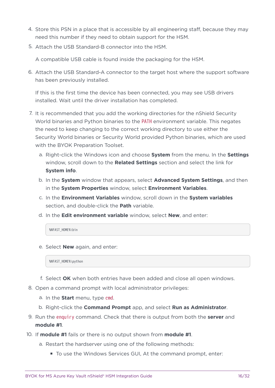- 4. Store this PSN in a place that is accessible by all engineering staff, because they may need this number if they need to obtain support for the HSM.
- 5. Attach the USB Standard-B connector into the HSM.

A compatible USB cable is found inside the packaging for the HSM.

6. Attach the USB Standard-A connector to the target host where the support software has been previously installed.

If this is the first time the device has been connected, you may see USB drivers installed. Wait until the driver installation has completed.

- 7. It is recommended that you add the working directories for the nShield Security World binaries and Python binaries to the PATH environment variable. This negates the need to keep changing to the correct working directory to use either the Security World binaries or Security World provided Python binaries, which are used with the BYOK Preparation Toolset.
	- a. Right-click the Windows icon and choose **System** from the menu. In the **Settings** window, scroll down to the **Related Settings** section and select the link for **System info**.
	- b. In the **System** window that appears, select **Advanced System Settings**, and then in the **System Properties** window, select **Environment Variables**.
	- c. In the **Environment Variables** window, scroll down in the **System variables** section, and double-click the **Path** variable.
	- d. In the **Edit environment variable** window, select **New**, and enter:

%NFAST\_HOME%\bin

e. Select **New** again, and enter:

%NFAST\_HOME%\python

- f. Select **OK** when both entries have been added and close all open windows.
- 8. Open a command prompt with local administrator privileges:
	- a. In the **Start** menu, type cmd.
	- b. Right-click the **Command Prompt** app, and select **Run as Administrator**.
- 9. Run the enquiry command. Check that there is output from both the **server** and **module #1**.
- 10. If **module #1** fails or there is no output shown from **module #1**.
	- a. Restart the hardserver using one of the following methods:
		- To use the Windows Services GUI, At the command prompt, enter: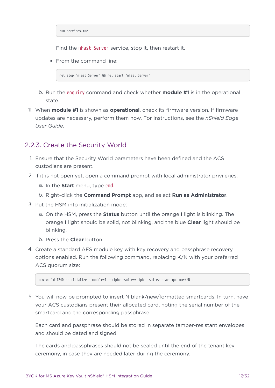run services.msc

Find the nFast Server service, stop it, then restart it.

 $\blacksquare$  From the command line:

net stop "nfast Server" && net start "nfast Server"

- b. Run the enquiry command and check whether **module #1** is in the operational state.
- 11. When **module #1** is shown as **operational**, check its firmware version. If firmware updates are necessary, perform them now. For instructions, see the *nShield Edge User Guide*.

#### 2.2.3. Create the Security World

- 1. Ensure that the Security World parameters have been defined and the ACS custodians are present.
- 2. If it is not open yet, open a command prompt with local administrator privileges.
	- a. In the **Start** menu, type cmd.
	- b. Right-click the **Command Prompt** app, and select **Run as Administrator**.
- 3. Put the HSM into initialization mode:
	- a. On the HSM, press the **Status** button until the orange **I** light is blinking. The orange **I** light should be solid, not blinking, and the blue **Clear** light should be blinking.
	- b. Press the **Clear** button.
- 4. Create a standard AES module key with key recovery and passphrase recovery options enabled. Run the following command, replacing K/N with your preferred ACS quorum size:

new-world-1240 --initialize --module=1 --cipher-suite=<cipher suite> --acs-quorum=K/N p

5. You will now be prompted to insert N blank/new/formatted smartcards. In turn, have your ACS custodians present their allocated card, noting the serial number of the smartcard and the corresponding passphrase.

Each card and passphrase should be stored in separate tamper-resistant envelopes and should be dated and signed.

The cards and passphrases should not be sealed until the end of the tenant key ceremony, in case they are needed later during the ceremony.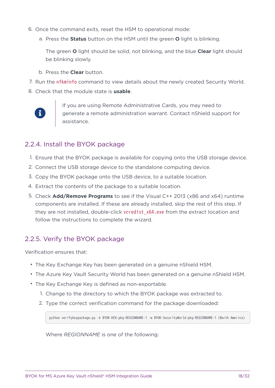- 6. Once the command exits, reset the HSM to operational mode:
	- a. Press the **Status** button on the HSM until the green **O** light is blinking.

The green **O** light should be solid, not blinking, and the blue **Clear** light should be blinking slowly.

- b. Press the **Clear** button.
- 7. Run the nfkminfo command to view details about the newly created Security World.
- 8. Check that the module state is **usable**.



If you are using Remote Administrative Cards, you may need to generate a remote administration warrant. Contact nShield support for assistance.

#### 2.2.4. Install the BYOK package

- 1. Ensure that the BYOK package is available for copying onto the USB storage device.
- 2. Connect the USB storage device to the standalone computing device.
- 3. Copy the BYOK package onto the USB device, to a suitable location.
- 4. Extract the contents of the package to a suitable location.
- 5. Check **Add/Remove Programs** to see if the Visual C++ 2013 (x86 and x64) runtime components are installed. If these are already installed, skip the rest of this step. If they are not installed, double-click vcredist\_x64.exe from the extract location and follow the instructions to complete the wizard.

#### <span id="page-17-0"></span>2.2.5. Verify the BYOK package

Verification ensures that:

- The Key Exchange Key has been generated on a genuine nShield HSM.
- The Azure Key Vault Security World has been generated on a genuine nShield HSM.
- The Key Exchange Key is defined as non-exportable.
	- 1. Change to the directory to which the BYOK package was extracted to.
	- 2. Type the correct verification command for the package downloaded:

python verifykeypackage.py -k BYOK-KEK-pkg-REGIONNAME-1 -w BYOK-SecurityWorld-pkg-REGIONNAME-1 (North America)

Where *REGIONNAME* is one of the following: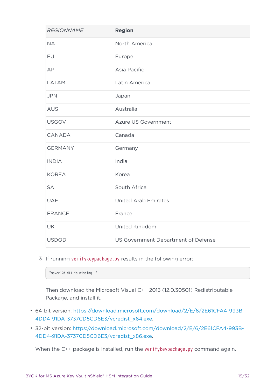| <b>REGIONNAME</b> | <b>Region</b>                       |
|-------------------|-------------------------------------|
| <b>NA</b>         | North America                       |
| EU                | Europe                              |
| AP                | Asia Pacific                        |
| LATAM             | Latin America                       |
| <b>JPN</b>        | Japan                               |
| <b>AUS</b>        | Australia                           |
| <b>USGOV</b>      | Azure US Government                 |
| <b>CANADA</b>     | Canada                              |
| <b>GERMANY</b>    | Germany                             |
| <b>INDIA</b>      | India                               |
| <b>KOREA</b>      | Korea                               |
| <b>SA</b>         | South Africa                        |
| <b>UAE</b>        | <b>United Arab Emirates</b>         |
| <b>FRANCE</b>     | France                              |
| <b>UK</b>         | United Kingdom                      |
| <b>USDOD</b>      | US Government Department of Defense |

3. If running verifykeypackage.py results in the following error:

"msvcr120.dll is missing…"

Then download the Microsoft Visual C++ 2013 (12.0.30501) Redistributable Package, and install it.

- 64-bit version: [https://download.microsoft.com/download/2/E/6/2E61CFA4-993B-](https://download.microsoft.com/download/2/E/6/2E61CFA4-993B-4DD4-91DA-3737CD5CD6E3/vcredist_x64.exe)[4DD4-91DA-3737CD5CD6E3/vcredist\\_x64.exe](https://download.microsoft.com/download/2/E/6/2E61CFA4-993B-4DD4-91DA-3737CD5CD6E3/vcredist_x64.exe).
- 32-bit version: [https://download.microsoft.com/download/2/E/6/2E61CFA4-993B-](https://download.microsoft.com/download/2/E/6/2E61CFA4-993B-4DD4-91DA-3737CD5CD6E3/vcredist_x86.exe)[4DD4-91DA-3737CD5CD6E3/vcredist\\_x86.exe.](https://download.microsoft.com/download/2/E/6/2E61CFA4-993B-4DD4-91DA-3737CD5CD6E3/vcredist_x86.exe)

When the C++ package is installed, run the verifykeypackage.py command again.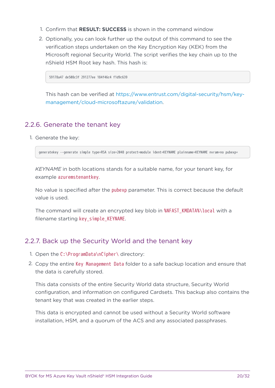- 1. Confirm that **RESULT: SUCCESS** is shown in the command window
- 2. Optionally, you can look further up the output of this command to see the verification steps undertaken on the Key Encryption Key (KEK) from the Microsoft regional Security World. The script verifies the key chain up to the nShield HSM Root key hash. This hash is:

59178a47 de508c3f 291277ee 184f46c4 f1d9c639

This hash can be verified at [https://www.entrust.com/digital-security/hsm/key](https://www.entrust.com/digital-security/hsm/key-management/cloud-microsoftazure/validation)[management/cloud-microsoftazure/validation](https://www.entrust.com/digital-security/hsm/key-management/cloud-microsoftazure/validation).

#### 2.2.6. Generate the tenant key

1. Generate the key:

generatekey --generate simple type=RSA size=2048 protect=module ident=KEYNAME plainname=KEYNAME nvram=no pubexp=

*KEYNAME* in both locations stands for a suitable name, for your tenant key, for example azuremstenantkey.

No value is specified after the pubexp parameter. This is correct because the default value is used.

The command will create an encrypted key blob in %NFAST\_KMDATA%\local with a filename starting key\_simple\_KEYNAME.

#### 2.2.7. Back up the Security World and the tenant key

- 1. Open the C:\ProgramData\nCipher\ directory:
- 2. Copy the entire Key Management Data folder to a safe backup location and ensure that the data is carefully stored.

This data consists of the entire Security World data structure, Security World configuration, and information on configured Cardsets. This backup also contains the tenant key that was created in the earlier steps.

This data is encrypted and cannot be used without a Security World software installation, HSM, and a quorum of the ACS and any associated passphrases.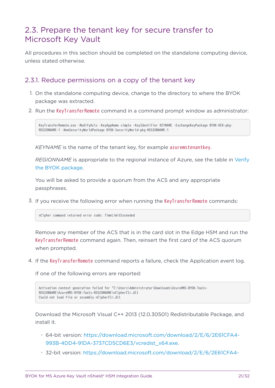## <span id="page-20-0"></span>2.3. Prepare the tenant key for secure transfer to Microsoft Key Vault

All procedures in this section should be completed on the standalone computing device, unless stated otherwise.

#### 2.3.1. Reduce permissions on a copy of the tenant key

- 1. On the standalone computing device, change to the directory to where the BYOK package was extracted.
- 2. Run the KeyTransferRemote command in a command prompt window as administrator:

KeyTransferRemote.exe -ModifyAcls -KeyAppName simple -KeyIdentifier KEYNAME -ExchangeKeyPackage BYOK-KEK-pkg-REGIONNAME-1 -NewSecurityWorldPackage BYOK-SecurityWorld-pkg-REGIONNAME-1

*KEYNAME* is the name of the tenant key, for example azuremstenantkey.

*REGIONNAME* is appropriate to the regional instance of Azure, see the table in [Verify](#page-17-0) [the BYOK package](#page-17-0).

You will be asked to provide a quorum from the ACS and any appropriate passphrases.

3. If you receive the following error when running the KeyTransferRemote commands:

nCipher command returned error code: TimeLimitExceeded

Remove any member of the ACS that is in the card slot in the Edge HSM and run the KeyTransferRemote command again. Then, reinsert the first card of the ACS quorum when prompted.

4. If the KeyTransferRemote command reports a failure, check the Application event log.

If one of the following errors are reported:

```
Activation context generation failed for "C:\Users\Administrator\Downloads\AzureRMS-BYOK-Tools-
REGIONNAME\AzureRMS-BYOK-Tools-REGIONNAME\nCipherClr.dll
Could not load file or assembly nCipherClr.dll
```
Download the Microsoft Visual C++ 2013 (12.0.30501) Redistributable Package, and install it.

- 64-bit version: [https://download.microsoft.com/download/2/E/6/2E61CFA4-](https://download.microsoft.com/download/2/E/6/2E61CFA4-993B-4DD4-91DA-3737CD5CD6E3/vcredist_x64.exe) [993B-4DD4-91DA-3737CD5CD6E3/vcredist\\_x64.exe](https://download.microsoft.com/download/2/E/6/2E61CFA4-993B-4DD4-91DA-3737CD5CD6E3/vcredist_x64.exe).
- 32-bit version: [https://download.microsoft.com/download/2/E/6/2E61CFA4-](https://download.microsoft.com/download/2/E/6/2E61CFA4-993B-4DD4-91DA-3737CD5CD6E3/vcredist_x86.exe)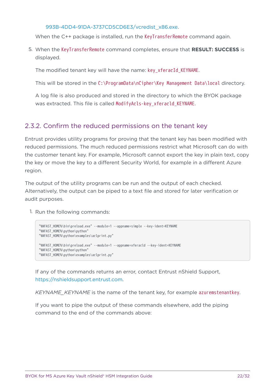#### [993B-4DD4-91DA-3737CD5CD6E3/vcredist\\_x86.exe.](https://download.microsoft.com/download/2/E/6/2E61CFA4-993B-4DD4-91DA-3737CD5CD6E3/vcredist_x86.exe)

When the C++ package is installed, run the KeyTransferRemote command again.

5. When the KeyTransferRemote command completes, ensure that **RESULT: SUCCESS** is displayed.

The modified tenant key will have the name: key xferacId KEYNAME.

This will be stored in the C:\ProgramData\nCipher\Key Management Data\local directory.

A log file is also produced and stored in the directory to which the BYOK package was extracted. This file is called ModifyAcls-key\_xferacld\_KEYNAME.

#### 2.3.2. Confirm the reduced permissions on the tenant key

Entrust provides utility programs for proving that the tenant key has been modified with reduced permissions. The much reduced permissions restrict what Microsoft can do with the customer tenant key. For example, Microsoft cannot export the key in plain text, copy the key or move the key to a different Security World, for example in a different Azure region.

The output of the utility programs can be run and the output of each checked. Alternatively, the output can be piped to a text file and stored for later verification or audit purposes.

1. Run the following commands:

```
"%NFAST_HOME%\bin\preload.exe" --module=1 --appname=simple --key-ident=KEYNAME
"%NFAST_HOME%\python\python"
"%NFAST_HOME%\python\examples\aclprint.py"
"%NFAST_HOME%\bin\preload.exe" --module=1 --appname=xferacld --key-ident=KEYNAME
"%NFAST_HOME%\python\python"
"%NFAST_HOME%\python\examples\aclprint.py"
```
If any of the commands returns an error, contact Entrust nShield Support, <https://nshieldsupport.entrust.com>.

*KEYNAME\_KEYNAME* is the name of the tenant key, for example azuremstenantkey.

If you want to pipe the output of these commands elsewhere, add the piping command to the end of the commands above: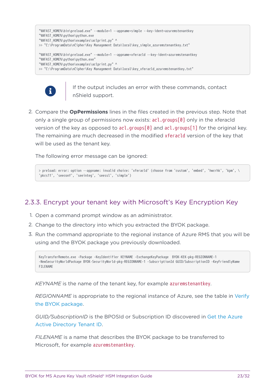```
"%NFAST_HOME%\bin\preload.exe" --module=1 --appname=simple --key-ident=azuremstenantkey
"%NFAST_HOME%\python\python.exe
"%NFAST_HOME%\python\examples\aclprint.py" ^
>> "C:\ProgramData\nCipher\Key Management Data\local\key_simple_azuremstenantkey.txt"
"%NFAST_HOME%\bin\preload.exe" --module=1 --appname=xferacld --key-ident=azuremstenantkey
"%NFAST_HOME%\python\python.exe"
"%NFAST_HOME%\python\examples\aclprint.py" ^
>> "C:\ProgramData\nCipher\Key Management Data\local\key_xferacld_azuremstenantkey.txt"
```


If the output includes an error with these commands, contact nShield support.

2. Compare the **OpPermissions** lines in the files created in the previous step. Note that only a single group of permissions now exists: acl.groups[0] only in the xferacld version of the key as opposed to acl.groups[0] and acl.groups[1] for the original key. The remaining are much decreased in the modified xferacld version of the key that will be used as the tenant key.

The following error message can be ignored:

> preload: error: option --appname: invalid choice: 'xferacld' (choose from 'custom', 'embed', 'hwcrhk', 'kpm', \ 'pkcs11', 'seeconf', 'seeinteg', 'seessl', 'simple')

#### 2.3.3. Encrypt your tenant key with Microsoft's Key Encryption Key

- 1. Open a command prompt window as an administrator.
- 2. Change to the directory into which you extracted the BYOK package.
- 3. Run the command appropriate to the regional instance of Azure RMS that you will be using and the BYOK package you previously downloaded.

KeyTransferRemote.exe -Package -KeyIdentifier KEYNAME -ExchangeKeyPackage BYOK-KEK-pkg-REGIONNAME-1 -NewSecurityWorldPackage BYOK-SecurityWorld-pkg-REGIONNAME-1 -SubscriptionId GUID/SubscriptionID -KeyFriendlyName FILENAME

*KEYNAME* is the name of the tenant key, for example azuremstenantkey.

*REGIONNAME* is appropriate to the regional instance of Azure, see the table in [Verify](#page-17-0) [the BYOK package](#page-17-0).

*GUID/SubscriptionID* is the BPOSId or Subscription ID discovered in [Get the Azure](#page-11-0) [Active Directory Tenant ID](#page-11-0).

*FILENAME* is a name that describes the BYOK package to be transferred to Microsoft, for example azuremstenantkey.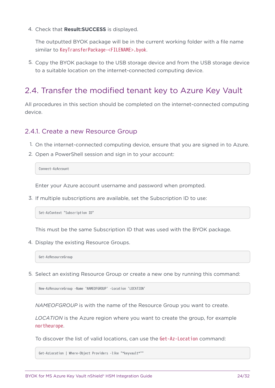4. Check that **Result:SUCCESS** is displayed.

The outputted BYOK package will be in the current working folder with a file name similar to KeyTransferPackage-<FILENAME>.byok.

5. Copy the BYOK package to the USB storage device and from the USB storage device to a suitable location on the internet-connected computing device.

### <span id="page-23-0"></span>2.4. Transfer the modified tenant key to Azure Key Vault

All procedures in this section should be completed on the internet-connected computing device.

#### <span id="page-23-1"></span>2.4.1. Create a new Resource Group

- 1. On the internet-connected computing device, ensure that you are signed in to Azure.
- 2. Open a PowerShell session and sign in to your account:

Connect-AzAccount

Enter your Azure account username and password when prompted.

3. If multiple subscriptions are available, set the Subscription ID to use:

Set-AzContext "Subscription ID"

This must be the same Subscription ID that was used with the BYOK package.

4. Display the existing Resource Groups.

Get-AzResourceGroup

5. Select an existing Resource Group or create a new one by running this command:

New-AzResourceGroup -Name 'NAMEOFGROUP' -Location 'LOCATION'

*NAMEOFGROUP* is with the name of the Resource Group you want to create.

*LOCATION* is the Azure region where you want to create the group, for example northeurope.

To discover the list of valid locations, can use the Get-Az-Location command:

Get-AzLocation | Where-Object Providers -like "\*keyvault\*""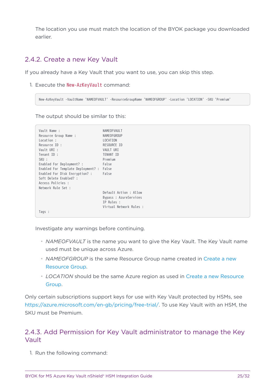The location you use must match the location of the BYOK package you downloaded earlier.

#### <span id="page-24-0"></span>2.4.2. Create a new Key Vault

If you already have a Key Vault that you want to use, you can skip this step.

1. Execute the New-AzKeyVault command:

New-AzKeyVault -VaultName 'NAMEOFVAULT' -ResourceGroupName 'NAMEOFGROUP' -Location 'LOCATION' -SKU 'Premium'

The output should be similar to this:

| Vault Name :                             | NAMEOFVAULT             |
|------------------------------------------|-------------------------|
| Resource Group Name :                    | NAMEOFGROUP             |
| Location :                               | LOCATION                |
| Resource ID :                            | RESOURCE ID             |
| Vault URI :                              | VAULT URI               |
| Tenant ID :                              | TFNANT TD               |
| SKU :                                    | Premium                 |
| Enabled For Deployment? :                | False                   |
| Enabled For Template Deployment? : False |                         |
| Enabled For Disk Encryption? :           | False                   |
| Soft Delete Enabled? :                   |                         |
| Access Policies :                        |                         |
| Network Rule Set :                       |                         |
|                                          | Default Action : Allow  |
|                                          | Bypass : AzureServices  |
|                                          | IP Rules :              |
|                                          | Virtual Network Rules : |
| Tags :                                   |                         |

Investigate any warnings before continuing.

- *NAMEOFVAULT* is the name you want to give the Key Vault. The Key Vault name used must be unique across Azure.
- *NAMEOFGROUP* is the same Resource Group name created in [Create a new](#page-23-1) [Resource Group.](#page-23-1)
- *LOCATION* should be the same Azure region as used in [Create a new Resource](#page-23-1) [Group.](#page-23-1)

Only certain subscriptions support keys for use with Key Vault protected by HSMs, see [https://azure.microsoft.com/en-gb/pricing/free-trial/.](https://azure.microsoft.com/en-gb/pricing/free-trial/) To use Key Vault with an HSM, the SKU must be Premium.

#### 2.4.3. Add Permission for Key Vault administrator to manage the Key Vault

1. Run the following command: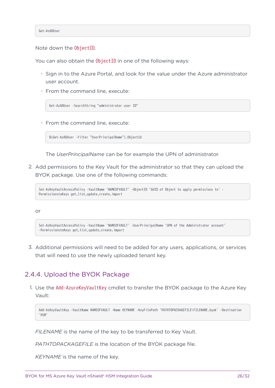Note down the ObjectID.

You can also obtain the ObjectID in one of the following ways:

- Sign in to the Azure Portal, and look for the value under the Azure administrator user account.
- From the command line, execute:

```
Get-AzADUser -SearchString "administrator user ID"
```
◦ From the command line, execute:

\$(Get-AzADUser -Filter "UserPrincipalName").ObjectId

The *UserPrincipalName* can be for example the UPN of administrator.

2. Add permissions to the Key Vault for the administrator so that they can upload the BYOK package. Use one of the following commands:

```
Set-AzKeyVaultAccessPolicy -VaultName 'NAMEOFVAULT' -ObjectID 'GUID of Object to apply permissions to' -
PermissionstoKeys get, list, update, create, import
```
or

```
Set-AzKeyVaultAccessPolicy -VaultName 'NAMEOFVAULT' -UserPrincipalName 'UPN of the Administrator account'
-PermissionstoKeys get,list,update,create,import
```
3. Additional permissions will need to be added for any users, applications, or services that will need to use the newly uploaded tenant key.

#### 2.4.4. Upload the BYOK Package

1. Use the Add-AzureKeyVaultKey cmdlet to transfer the BYOK package to the Azure Key Vault:

```
Add-AzKeyVaultKey -VaultName NAMEOFVAULT -Name KEYNAME -KeyFilePath 'PATHTOPACKAGEFILE\FILENAME.byok' -Destination
'HSM'
```
*FILENAME* is the name of the key to be transferred to Key Vault.

*PATHTOPACKAGEFILE* is the location of the BYOK package file.

*KEYNAME* is the name of the key.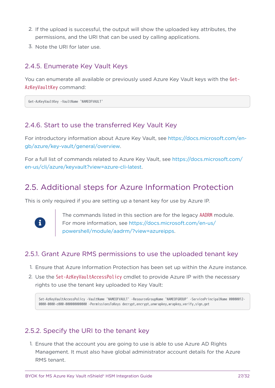- 2. If the upload is successful, the output will show the uploaded key attributes, the permissions, and the URI that can be used by calling applications.
- 3. Note the URI for later use.

#### 2.4.5. Enumerate Key Vault Keys

You can enumerate all available or previously used Azure Key Vault keys with the Get-AzKeyVaultKey command:

Get-AzKeyVaultKey -VaultName 'NAMEOFVAULT'

#### 2.4.6. Start to use the transferred Key Vault Key

For introductory information about Azure Key Vault, see [https://docs.microsoft.com/en](https://docs.microsoft.com/en-gb/azure/key-vault/general/overview)[gb/azure/key-vault/general/overview.](https://docs.microsoft.com/en-gb/azure/key-vault/general/overview)

For a full list of commands related to Azure Key Vault, see [https://docs.microsoft.com/](https://docs.microsoft.com/en-us/cli/azure/keyvault?view=azure-cli-latest) [en-us/cli/azure/keyvault?view=azure-cli-latest.](https://docs.microsoft.com/en-us/cli/azure/keyvault?view=azure-cli-latest)

### <span id="page-26-0"></span>2.5. Additional steps for Azure Information Protection

This is only required if you are setting up a tenant key for use by Azure IP.



The commands listed in this section are for the legacy AADRM module. For more information, see [https://docs.microsoft.com/en-us/](https://docs.microsoft.com/en-us/powershell/module/aadrm/?view=azureipps) [powershell/module/aadrm/?view=azureipps](https://docs.microsoft.com/en-us/powershell/module/aadrm/?view=azureipps).

#### 2.5.1. Grant Azure RMS permissions to use the uploaded tenant key

- 1. Ensure that Azure Information Protection has been set up within the Azure instance.
- 2. Use the Set-AzKeyVaultAccessPolicy cmdlet to provide Azure IP with the necessary rights to use the tenant key uploaded to Key Vault:

Set-AzKeyVaultAccessPolicy -VaultName 'NAMEOFVAULT' -ResourceGroupName 'NAMEOFGROUP' -ServicePrincipalName 00000012- 0000-0000-c000-000000000000 -PermissionsToKeys decrypt,encrypt,unwrapkey,wrapkey,verify,sign,get

#### 2.5.2. Specify the URI to the tenant key

1. Ensure that the account you are going to use is able to use Azure AD Rights Management. It must also have global administrator account details for the Azure RMS tenant.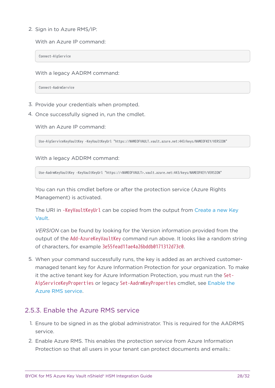2. Sign in to Azure RMS/IP:

With an Azure IP command:

Connect-AipService

With a legacy AADRM command:

Connect-AadrmService

- 3. Provide your credentials when prompted.
- 4. Once successfully signed in, run the cmdlet.

With an Azure IP command:

Use-AipServiceKeyVaultKey -KeyVaultKeyUrl "https://NAMEOFVAULT.vault.azure.net:443/keys/NAMEOFKEY/VERSION"

With a legacy ADDRM command:

Use-AadrmKeyVaultKey -KeyVaultKeyUrl "https://<NAMEOFVAULT>.vault.azure.net:443/keys/NAMEOFKEY/VERSION"

You can run this cmdlet before or after the protection service (Azure Rights Management) is activated.

The URI in -KeyVaultKeyUrl can be copied from the output from [Create a new Key](#page-24-0) [Vault](#page-24-0).

*VERSION* can be found by looking for the Version information provided from the output of the Add-AzureKeyVaultKey command run above. It looks like a random string of characters, for example 3e55fead11ae4a26bddb0171312d73c0.

5. When your command successfully runs, the key is added as an archived customermanaged tenant key for Azure Information Protection for your organization. To make it the active tenant key for Azure Information Protection, you must run the Set-AipServiceKeyProperties or legacy Set-AadrmKeyProperties cmdlet, see [Enable the](#page-27-0) [Azure RMS service](#page-27-0).

#### <span id="page-27-0"></span>2.5.3. Enable the Azure RMS service

- 1. Ensure to be signed in as the global administrator. This is required for the AADRMS service.
- 2. Enable Azure RMS. This enables the protection service from Azure Information Protection so that all users in your tenant can protect documents and emails.: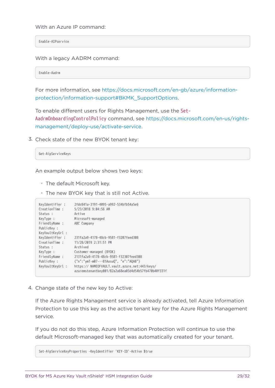With an Azure IP command:

Enable-AIPservice

With a legacy AADRM command:

Enable-Aadrm

For more information, see [https://docs.microsoft.com/en-gb/azure/information](https://docs.microsoft.com/en-gb/azure/information-protection/information-support#BKMK_SupportOptions)[protection/information-support#BKMK\\_SupportOptions.](https://docs.microsoft.com/en-gb/azure/information-protection/information-support#BKMK_SupportOptions)

To enable different users for Rights Management, use the Set-AadrmOnboardingControlPolicy command, see [https://docs.microsoft.com/en-us/rights](https://docs.microsoft.com/en-us/rights-management/deploy-use/activate-service)[management/deploy-use/activate-service](https://docs.microsoft.com/en-us/rights-management/deploy-use/activate-service).

3. Check state of the new BYOK tenant key:

Get-AipServiceKeys

An example output below shows two keys:

- The default Microsoft key.
- The new BYOK key that is still not Active.

```
KeyIdentifier : 2fdc841a-3191-4095-a992-534bfb54a5e6
CreationTime : 5/23/2018 9:04:56 AM
Status : Active
KeyType : Microsoft-managed
FriendlyName : ABC Company
PublicKey :
KeyVaultKeyUrl :
                 231fa2a9-4178-48cb-9581-f3207feed308
CreationTime : 11/28/2019 2:31:51 PM
Status : Archived
KeyType : Customer-managed (BYOK)
FriendlyName : 2131fa2a9-4178-48cb-9581-f32307feed308
PublicKey : {"n":"ymT-m07-…81AosuQ", "e":"AQAB"}
KeyVaultKeyUrl : https:// NAMEOFVAULT.vault.azure.net:443/keys/
                   azuremstenantkey001/82a2a68ea03d4d54b57fb470b40f331f
```
4. Change state of the new key to Active:

If the Azure Rights Management service is already activated, tell Azure Information Protection to use this key as the active tenant key for the Azure Rights Management service.

If you do not do this step, Azure Information Protection will continue to use the default Microsoft-managed key that was automatically created for your tenant.

Set-AipServiceKeyProperties -KeyIdentifier 'KEY-ID'-Active \$true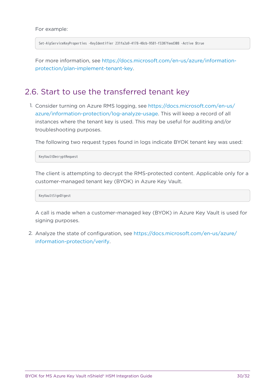#### For example:

Set-AipServiceKeyProperties -KeyIdentifier 231fa2a9-4178-48cb-9581-f3207feed308 -Active \$true

For more information, see [https://docs.microsoft.com/en-us/azure/information](https://docs.microsoft.com/en-us/azure/information-protection/plan-implement-tenant-key)[protection/plan-implement-tenant-key.](https://docs.microsoft.com/en-us/azure/information-protection/plan-implement-tenant-key)

#### <span id="page-29-0"></span>2.6. Start to use the transferred tenant key

1. Consider turning on Azure RMS logging, see [https://docs.microsoft.com/en-us/](https://docs.microsoft.com/en-us/azure/information-protection/log-analyze-usage) [azure/information-protection/log-analyze-usage](https://docs.microsoft.com/en-us/azure/information-protection/log-analyze-usage). This will keep a record of all instances where the tenant key is used. This may be useful for auditing and/or troubleshooting purposes.

The following two request types found in logs indicate BYOK tenant key was used:

KeyVaultDecryptRequest

The client is attempting to decrypt the RMS-protected content. Applicable only for a customer-managed tenant key (BYOK) in Azure Key Vault.

KeyVaultSignDigest

A call is made when a customer-managed key (BYOK) in Azure Key Vault is used for signing purposes.

2. Analyze the state of configuration, see [https://docs.microsoft.com/en-us/azure/](https://docs.microsoft.com/en-us/azure/information-protection/verify) [information-protection/verify](https://docs.microsoft.com/en-us/azure/information-protection/verify).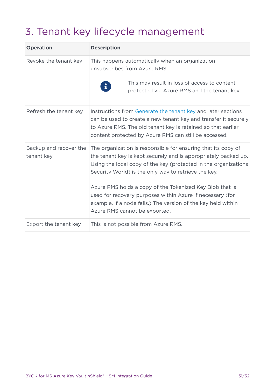## <span id="page-30-0"></span>3. Tenant key lifecycle management

| <b>Operation</b>                     | <b>Description</b>                                                                                                                                                                                                                                                                                                                                                                                                                                                                     |
|--------------------------------------|----------------------------------------------------------------------------------------------------------------------------------------------------------------------------------------------------------------------------------------------------------------------------------------------------------------------------------------------------------------------------------------------------------------------------------------------------------------------------------------|
| Revoke the tenant key                | This happens automatically when an organization<br>unsubscribes from Azure RMS.<br>This may result in loss of access to content<br>E<br>protected via Azure RMS and the tenant key.                                                                                                                                                                                                                                                                                                    |
| Refresh the tenant key               | Instructions from Generate the tenant key and later sections<br>can be used to create a new tenant key and transfer it securely<br>to Azure RMS. The old tenant key is retained so that earlier<br>content protected by Azure RMS can still be accessed.                                                                                                                                                                                                                               |
| Backup and recover the<br>tenant key | The organization is responsible for ensuring that its copy of<br>the tenant key is kept securely and is appropriately backed up.<br>Using the local copy of the key (protected in the organizations<br>Security World) is the only way to retrieve the key.<br>Azure RMS holds a copy of the Tokenized Key Blob that is<br>used for recovery purposes within Azure if necessary (for<br>example, if a node fails.) The version of the key held within<br>Azure RMS cannot be exported. |
| Export the tenant key                | This is not possible from Azure RMS.                                                                                                                                                                                                                                                                                                                                                                                                                                                   |